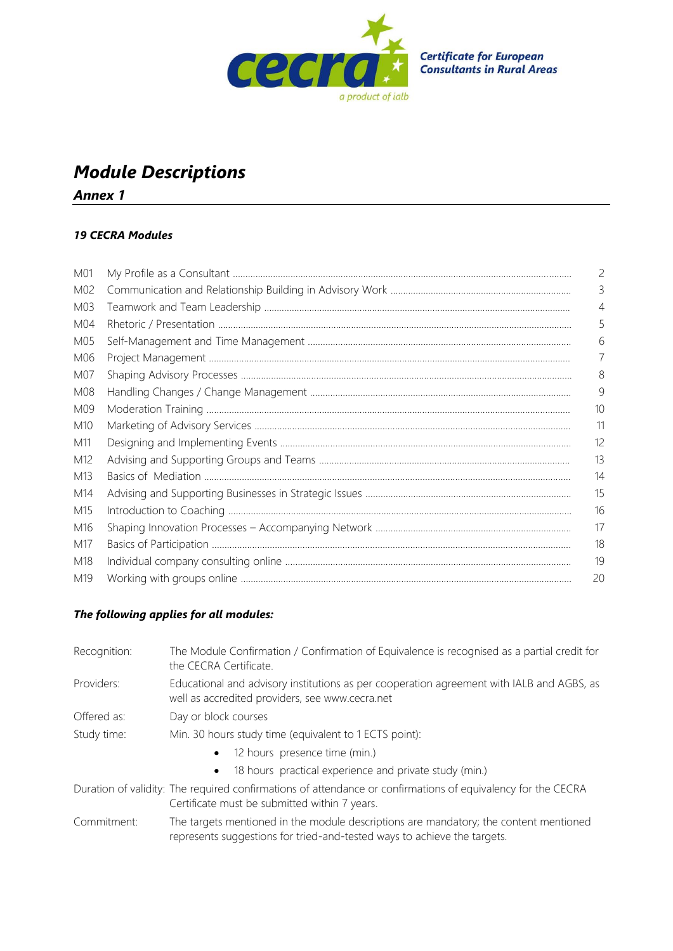

## *Module Descriptions*

*Annex 1*

## *19 CECRA Modules*

| M01 | $\overline{c}$ |
|-----|----------------|
| M02 | 3              |
| M03 |                |
| M04 |                |
| M05 | 6              |
| M06 |                |
| M07 | 8              |
| M08 | 9              |
| M09 | 10             |
| M10 | 11             |
| M11 | 12             |
| M12 | 13             |
| M13 | 14             |
| M14 | 15             |
| M15 | 16             |
| M16 | 17             |
| M17 | 18             |
| M18 | 19             |
| M19 | 20             |

## *The following applies for all modules:*

| Recognition: | The Module Confirmation / Confirmation of Equivalence is recognised as a partial credit for<br>the CECRA Certificate.                                             |  |
|--------------|-------------------------------------------------------------------------------------------------------------------------------------------------------------------|--|
| Providers:   | Educational and advisory institutions as per cooperation agreement with IALB and AGBS, as<br>well as accredited providers, see www.cecra.net                      |  |
| Offered as:  | Day or block courses                                                                                                                                              |  |
| Study time:  | Min. 30 hours study time (equivalent to 1 ECTS point):                                                                                                            |  |
|              | 12 hours presence time (min.)<br>$\bullet$                                                                                                                        |  |
|              | 18 hours practical experience and private study (min.)<br>$\bullet$                                                                                               |  |
|              | Duration of validity: The required confirmations of attendance or confirmations of equivalency for the CECRA<br>Certificate must be submitted within 7 years.     |  |
| Commitment:  | The targets mentioned in the module descriptions are mandatory; the content mentioned<br>represents suggestions for tried-and-tested ways to achieve the targets. |  |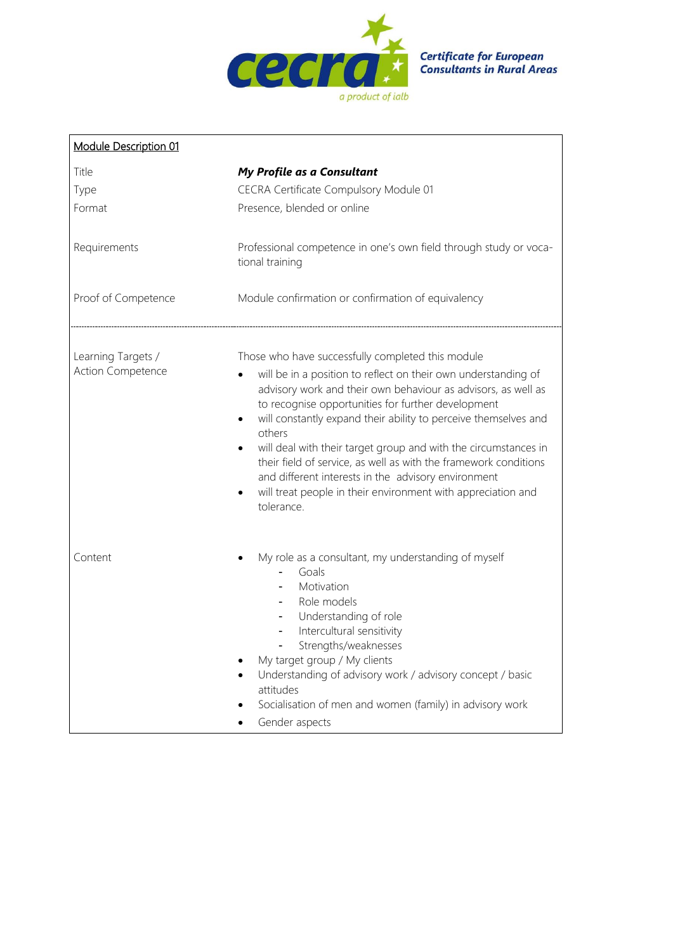

| Module Description 01                                          |                                                                                                                                                                                                                                                                                                                                                                                                                                                                                                                                                                                                     |  |
|----------------------------------------------------------------|-----------------------------------------------------------------------------------------------------------------------------------------------------------------------------------------------------------------------------------------------------------------------------------------------------------------------------------------------------------------------------------------------------------------------------------------------------------------------------------------------------------------------------------------------------------------------------------------------------|--|
| Title<br>Type<br>Format<br>Requirements<br>Proof of Competence | My Profile as a Consultant<br>CECRA Certificate Compulsory Module 01<br>Presence, blended or online<br>Professional competence in one's own field through study or voca-<br>tional training<br>Module confirmation or confirmation of equivalency                                                                                                                                                                                                                                                                                                                                                   |  |
| Learning Targets /<br>Action Competence                        | Those who have successfully completed this module<br>will be in a position to reflect on their own understanding of<br>advisory work and their own behaviour as advisors, as well as<br>to recognise opportunities for further development<br>will constantly expand their ability to perceive themselves and<br>others<br>will deal with their target group and with the circumstances in<br>their field of service, as well as with the framework conditions<br>and different interests in the advisory environment<br>will treat people in their environment with appreciation and<br>tolerance. |  |
| Content                                                        | My role as a consultant, my understanding of myself<br>Goals<br>Motivation<br>Role models<br>Understanding of role<br>Intercultural sensitivity<br>Strengths/weaknesses<br>My target group / My clients<br>Understanding of advisory work / advisory concept / basic<br>attitudes<br>Socialisation of men and women (family) in advisory work<br>Gender aspects                                                                                                                                                                                                                                     |  |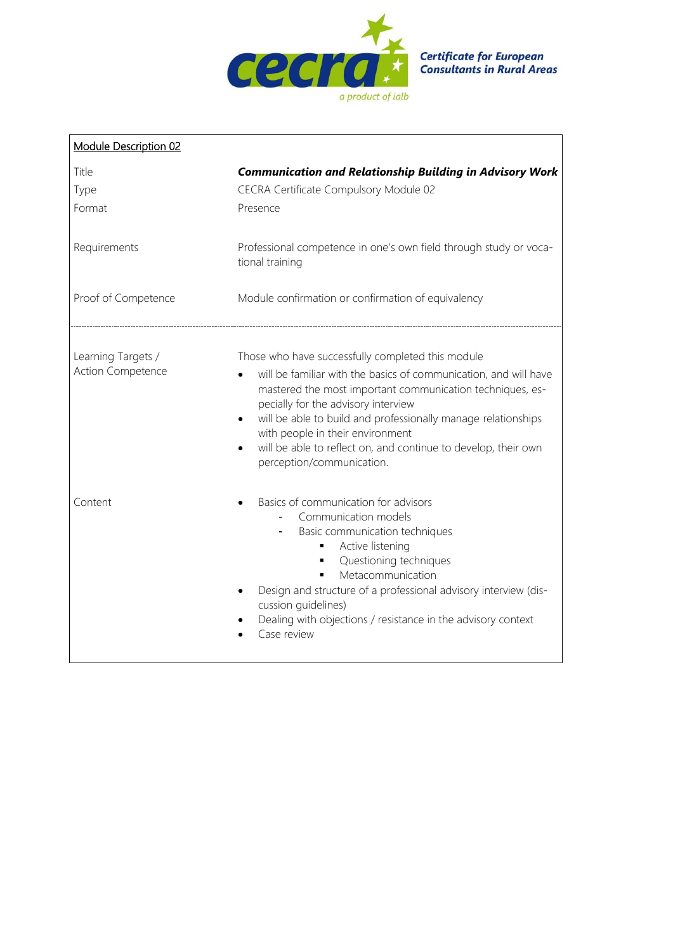

| Module Description 02                   |                                                                                                                                                                                                                                                                                                                                                                                                                                            |  |
|-----------------------------------------|--------------------------------------------------------------------------------------------------------------------------------------------------------------------------------------------------------------------------------------------------------------------------------------------------------------------------------------------------------------------------------------------------------------------------------------------|--|
| Title<br>Type<br>Format                 | <b>Communication and Relationship Building in Advisory Work</b><br>CECRA Certificate Compulsory Module 02<br>Presence                                                                                                                                                                                                                                                                                                                      |  |
| Requirements                            | Professional competence in one's own field through study or voca-<br>tional training                                                                                                                                                                                                                                                                                                                                                       |  |
| Proof of Competence                     | Module confirmation or confirmation of equivalency                                                                                                                                                                                                                                                                                                                                                                                         |  |
| Learning Targets /<br>Action Competence | Those who have successfully completed this module<br>will be familiar with the basics of communication, and will have<br>mastered the most important communication techniques, es-<br>pecially for the advisory interview<br>will be able to build and professionally manage relationships<br>$\bullet$<br>with people in their environment<br>will be able to reflect on, and continue to develop, their own<br>perception/communication. |  |
| Content                                 | Basics of communication for advisors<br>Communication models<br>Basic communication techniques<br>Active listening<br>٠<br>Questioning techniques<br>Metacommunication<br>٠<br>Design and structure of a professional advisory interview (dis-<br>cussion quidelines)<br>Dealing with objections / resistance in the advisory context<br>Case review                                                                                       |  |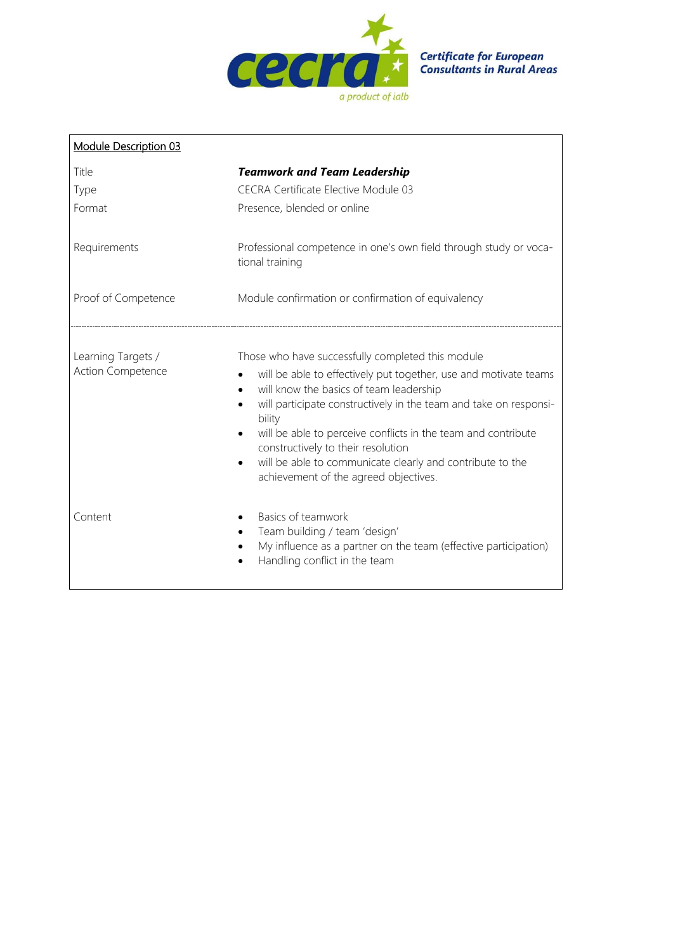

| Module Description 03                   |                                                                                                                                                                                                                                                                                                                                                                                                                                                                                        |
|-----------------------------------------|----------------------------------------------------------------------------------------------------------------------------------------------------------------------------------------------------------------------------------------------------------------------------------------------------------------------------------------------------------------------------------------------------------------------------------------------------------------------------------------|
| Title                                   | <b>Teamwork and Team Leadership</b>                                                                                                                                                                                                                                                                                                                                                                                                                                                    |
| Type                                    | <b>CECRA Certificate Elective Module 03</b>                                                                                                                                                                                                                                                                                                                                                                                                                                            |
| Format                                  | Presence, blended or online                                                                                                                                                                                                                                                                                                                                                                                                                                                            |
| Requirements                            | Professional competence in one's own field through study or voca-<br>tional training                                                                                                                                                                                                                                                                                                                                                                                                   |
| Proof of Competence                     | Module confirmation or confirmation of equivalency                                                                                                                                                                                                                                                                                                                                                                                                                                     |
| Learning Targets /<br>Action Competence | Those who have successfully completed this module<br>will be able to effectively put together, use and motivate teams<br>will know the basics of team leadership<br>$\bullet$<br>will participate constructively in the team and take on responsi-<br>bility<br>will be able to perceive conflicts in the team and contribute<br>constructively to their resolution<br>will be able to communicate clearly and contribute to the<br>$\bullet$<br>achievement of the agreed objectives. |
| Content                                 | Basics of teamwork<br>Team building / team 'design'<br>My influence as a partner on the team (effective participation)<br>$\bullet$<br>Handling conflict in the team                                                                                                                                                                                                                                                                                                                   |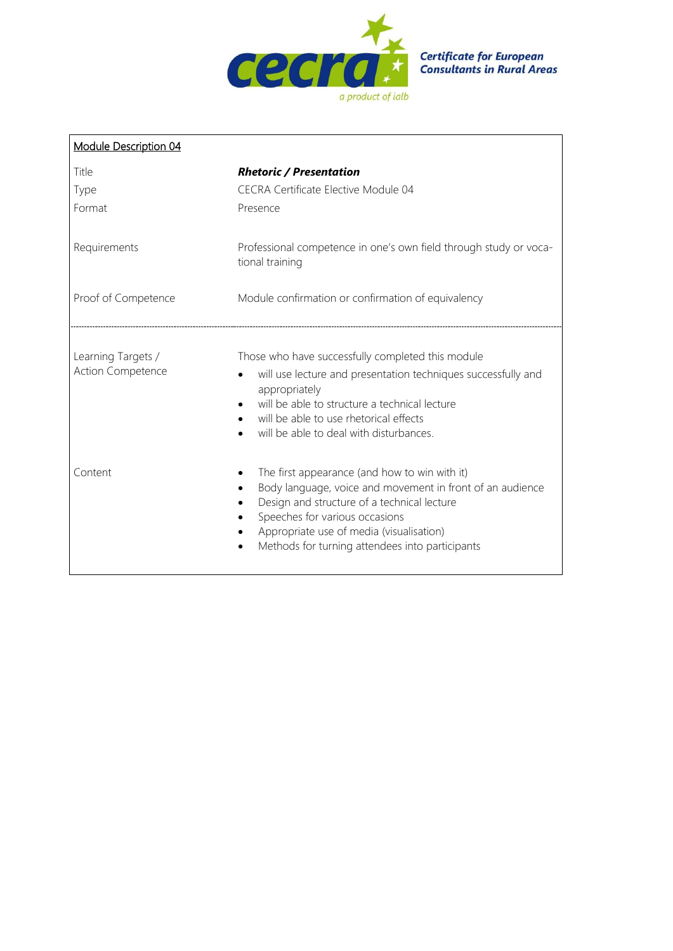

| Module Description 04                          |                                                                                                                                                                                                                                                                                            |  |
|------------------------------------------------|--------------------------------------------------------------------------------------------------------------------------------------------------------------------------------------------------------------------------------------------------------------------------------------------|--|
| Title                                          | <b>Rhetoric / Presentation</b>                                                                                                                                                                                                                                                             |  |
| Type                                           | <b>CECRA Certificate Elective Module 04</b>                                                                                                                                                                                                                                                |  |
| Format                                         | Presence                                                                                                                                                                                                                                                                                   |  |
| Requirements                                   | Professional competence in one's own field through study or voca-<br>tional training                                                                                                                                                                                                       |  |
| Proof of Competence                            | Module confirmation or confirmation of equivalency                                                                                                                                                                                                                                         |  |
| Learning Targets /<br><b>Action Competence</b> | Those who have successfully completed this module<br>will use lecture and presentation techniques successfully and<br>appropriately<br>will be able to structure a technical lecture<br>will be able to use rhetorical effects<br>will be able to deal with disturbances.                  |  |
| Content                                        | The first appearance (and how to win with it)<br>Body language, voice and movement in front of an audience<br>Design and structure of a technical lecture<br>Speeches for various occasions<br>Appropriate use of media (visualisation)<br>Methods for turning attendees into participants |  |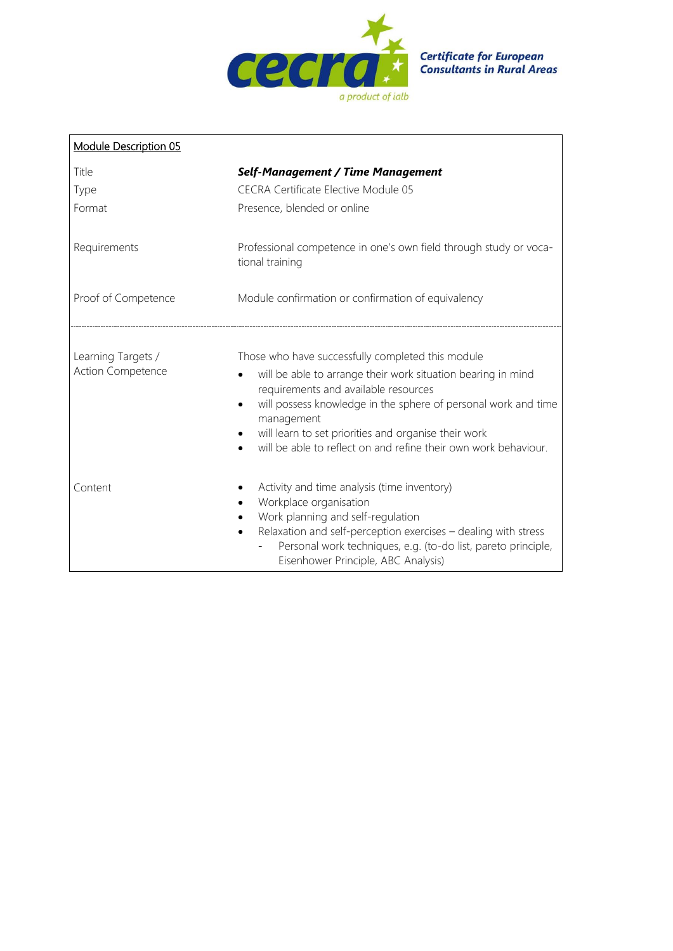

| Module Description 05                   |                                                                                                                                                                                                                                                                                                                                                                                   |
|-----------------------------------------|-----------------------------------------------------------------------------------------------------------------------------------------------------------------------------------------------------------------------------------------------------------------------------------------------------------------------------------------------------------------------------------|
| Title                                   | <b>Self-Management / Time Management</b>                                                                                                                                                                                                                                                                                                                                          |
| Type                                    | <b>CECRA Certificate Elective Module 05</b>                                                                                                                                                                                                                                                                                                                                       |
| Format                                  | Presence, blended or online                                                                                                                                                                                                                                                                                                                                                       |
| Requirements                            | Professional competence in one's own field through study or voca-<br>tional training                                                                                                                                                                                                                                                                                              |
| Proof of Competence                     | Module confirmation or confirmation of equivalency                                                                                                                                                                                                                                                                                                                                |
| Learning Targets /<br>Action Competence | Those who have successfully completed this module<br>will be able to arrange their work situation bearing in mind<br>requirements and available resources<br>will possess knowledge in the sphere of personal work and time<br>$\bullet$<br>management<br>will learn to set priorities and organise their work<br>will be able to reflect on and refine their own work behaviour. |
| Content                                 | Activity and time analysis (time inventory)<br>Workplace organisation<br>Work planning and self-regulation<br>Relaxation and self-perception exercises - dealing with stress<br>$\bullet$<br>Personal work techniques, e.g. (to-do list, pareto principle,<br>Eisenhower Principle, ABC Analysis)                                                                                 |

 $\mathbf{r}$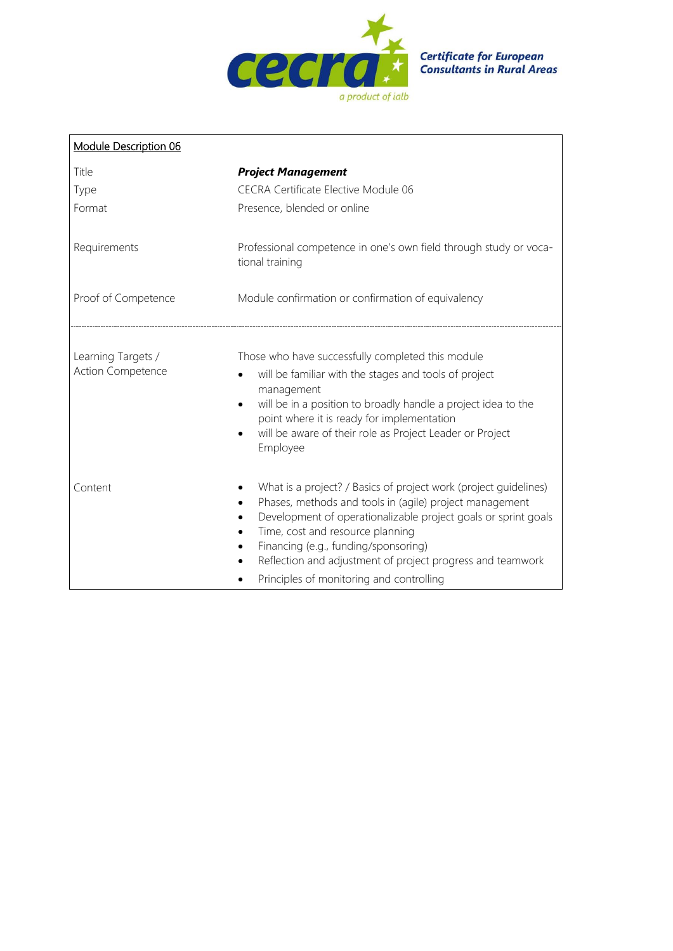

| Module Description 06                   |                                                                                                                                                                                                                                                                                                                                                                                                               |  |
|-----------------------------------------|---------------------------------------------------------------------------------------------------------------------------------------------------------------------------------------------------------------------------------------------------------------------------------------------------------------------------------------------------------------------------------------------------------------|--|
| Title                                   | <b>Project Management</b>                                                                                                                                                                                                                                                                                                                                                                                     |  |
| Type                                    | CECRA Certificate Elective Module 06                                                                                                                                                                                                                                                                                                                                                                          |  |
| Format                                  | Presence, blended or online                                                                                                                                                                                                                                                                                                                                                                                   |  |
| Requirements                            | Professional competence in one's own field through study or voca-<br>tional training                                                                                                                                                                                                                                                                                                                          |  |
| Proof of Competence                     | Module confirmation or confirmation of equivalency                                                                                                                                                                                                                                                                                                                                                            |  |
| Learning Targets /<br>Action Competence | Those who have successfully completed this module<br>will be familiar with the stages and tools of project<br>management<br>will be in a position to broadly handle a project idea to the<br>point where it is ready for implementation<br>will be aware of their role as Project Leader or Project<br>Employee                                                                                               |  |
| Content                                 | What is a project? / Basics of project work (project quidelines)<br>Phases, methods and tools in (agile) project management<br>Development of operationalizable project goals or sprint goals<br>Time, cost and resource planning<br>Financing (e.g., funding/sponsoring)<br>$\bullet$<br>Reflection and adjustment of project progress and teamwork<br>$\bullet$<br>Principles of monitoring and controlling |  |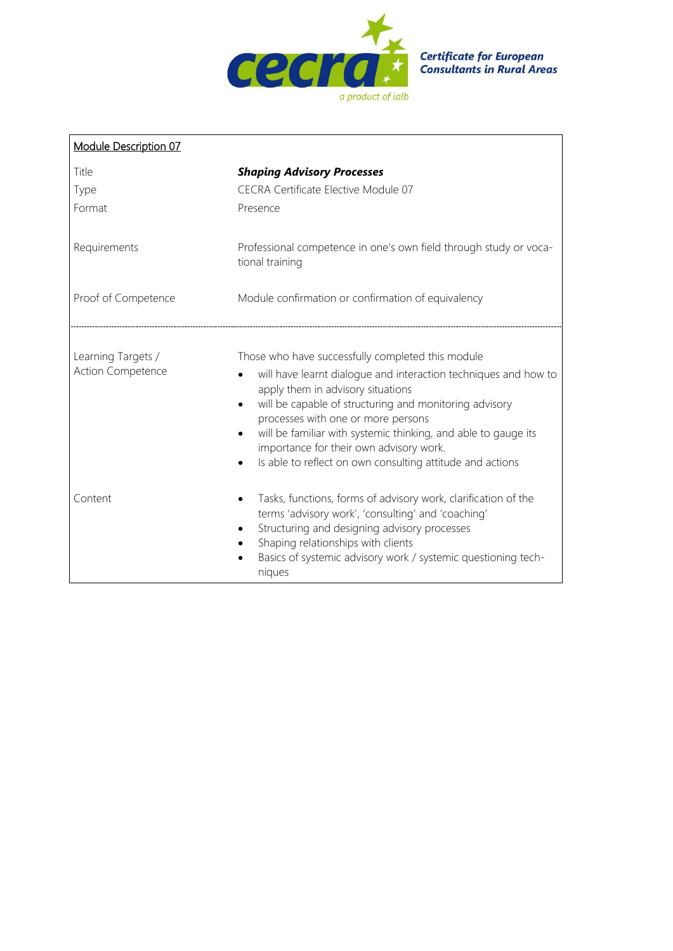

| <b>Module Description 07</b>            |                                                                                                                                                                                                                                                                                                                                                                                                                                     |  |
|-----------------------------------------|-------------------------------------------------------------------------------------------------------------------------------------------------------------------------------------------------------------------------------------------------------------------------------------------------------------------------------------------------------------------------------------------------------------------------------------|--|
| Title<br>Type<br>Format                 | <b>Shaping Advisory Processes</b><br>CECRA Certificate Elective Module 07<br>Presence                                                                                                                                                                                                                                                                                                                                               |  |
| Requirements                            | Professional competence in one's own field through study or voca-<br>tional training                                                                                                                                                                                                                                                                                                                                                |  |
| Proof of Competence                     | Module confirmation or confirmation of equivalency                                                                                                                                                                                                                                                                                                                                                                                  |  |
| Learning Targets /<br>Action Competence | Those who have successfully completed this module<br>will have learnt dialogue and interaction techniques and how to<br>apply them in advisory situations<br>will be capable of structuring and monitoring advisory<br>processes with one or more persons<br>will be familiar with systemic thinking, and able to gauge its<br>importance for their own advisory work.<br>Is able to reflect on own consulting attitude and actions |  |
| Content                                 | Tasks, functions, forms of advisory work, clarification of the<br>terms 'advisory work', 'consulting' and 'coaching'<br>Structuring and designing advisory processes<br>Shaping relationships with clients<br>Basics of systemic advisory work / systemic questioning tech-<br>niques                                                                                                                                               |  |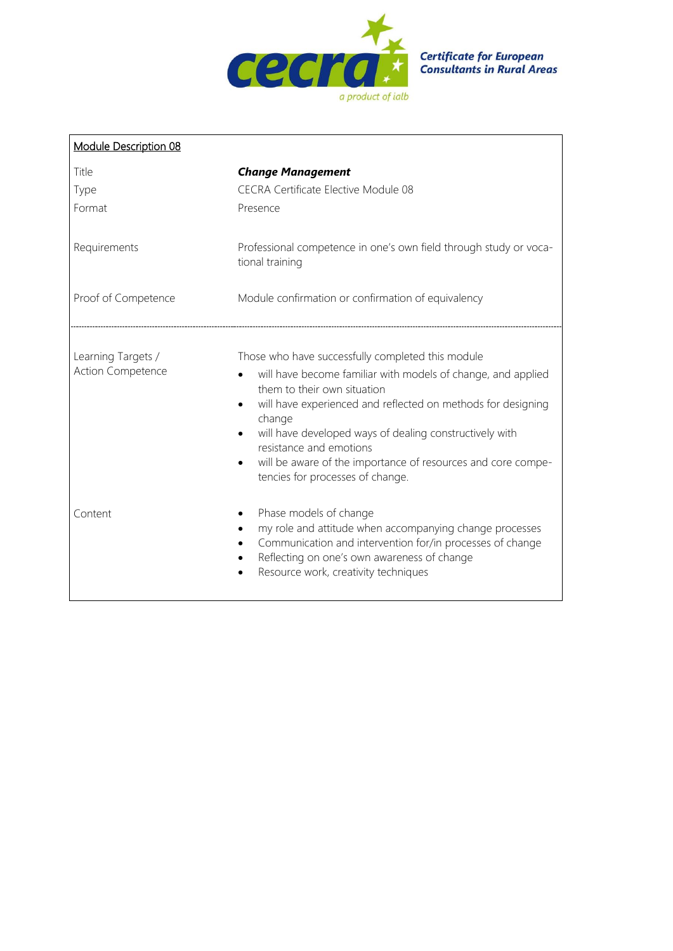

| Module Description 08                          |                                                                                                                                                                                                                                                                                                                                                                                                                      |
|------------------------------------------------|----------------------------------------------------------------------------------------------------------------------------------------------------------------------------------------------------------------------------------------------------------------------------------------------------------------------------------------------------------------------------------------------------------------------|
| Title                                          | <b>Change Management</b>                                                                                                                                                                                                                                                                                                                                                                                             |
| Type                                           | CECRA Certificate Elective Module 08                                                                                                                                                                                                                                                                                                                                                                                 |
| Format                                         | Presence                                                                                                                                                                                                                                                                                                                                                                                                             |
| Requirements                                   | Professional competence in one's own field through study or voca-<br>tional training                                                                                                                                                                                                                                                                                                                                 |
| Proof of Competence                            | Module confirmation or confirmation of equivalency                                                                                                                                                                                                                                                                                                                                                                   |
| Learning Targets /<br><b>Action Competence</b> | Those who have successfully completed this module<br>will have become familiar with models of change, and applied<br>them to their own situation<br>will have experienced and reflected on methods for designing<br>change<br>will have developed ways of dealing constructively with<br>resistance and emotions<br>will be aware of the importance of resources and core compe-<br>tencies for processes of change. |
| Content                                        | Phase models of change<br>my role and attitude when accompanying change processes<br>Communication and intervention for/in processes of change<br>Reflecting on one's own awareness of change<br>Resource work, creativity techniques                                                                                                                                                                                |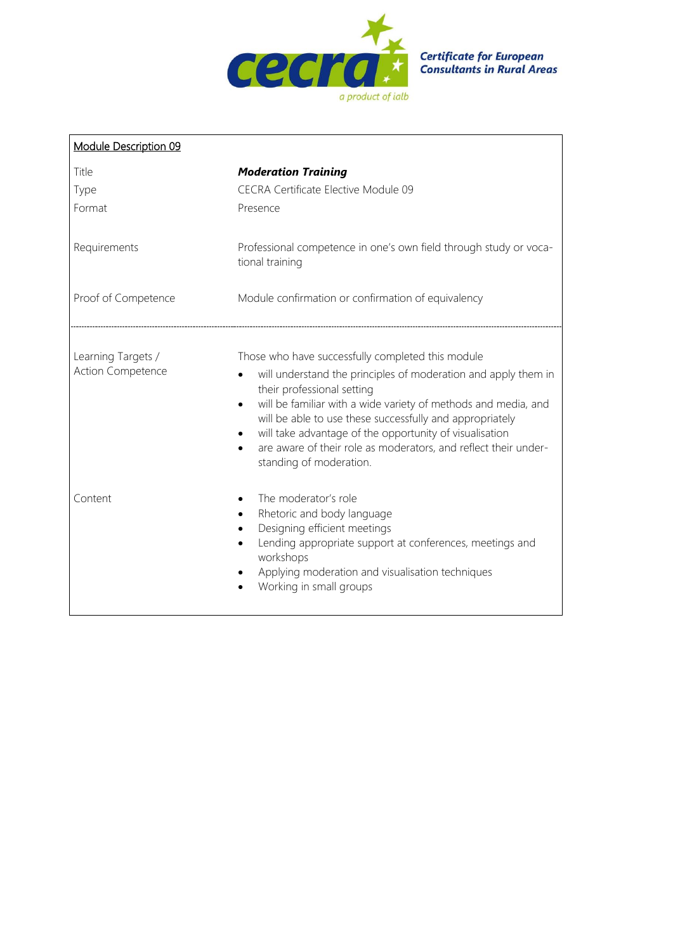

| Module Description 09                   |                                                                                                                                                                                                                                                                                                                                                                                                                                                                    |
|-----------------------------------------|--------------------------------------------------------------------------------------------------------------------------------------------------------------------------------------------------------------------------------------------------------------------------------------------------------------------------------------------------------------------------------------------------------------------------------------------------------------------|
| Title                                   | <b>Moderation Training</b>                                                                                                                                                                                                                                                                                                                                                                                                                                         |
| Type                                    | CECRA Certificate Elective Module 09                                                                                                                                                                                                                                                                                                                                                                                                                               |
| Format                                  | Presence                                                                                                                                                                                                                                                                                                                                                                                                                                                           |
| Requirements                            | Professional competence in one's own field through study or voca-<br>tional training                                                                                                                                                                                                                                                                                                                                                                               |
| Proof of Competence                     | Module confirmation or confirmation of equivalency                                                                                                                                                                                                                                                                                                                                                                                                                 |
| Learning Targets /<br>Action Competence | Those who have successfully completed this module<br>will understand the principles of moderation and apply them in<br>$\bullet$<br>their professional setting<br>will be familiar with a wide variety of methods and media, and<br>$\bullet$<br>will be able to use these successfully and appropriately<br>will take advantage of the opportunity of visualisation<br>are aware of their role as moderators, and reflect their under-<br>standing of moderation. |
| Content                                 | The moderator's role<br>Rhetoric and body language<br>Designing efficient meetings<br>Lending appropriate support at conferences, meetings and<br>workshops<br>Applying moderation and visualisation techniques<br>Working in small groups                                                                                                                                                                                                                         |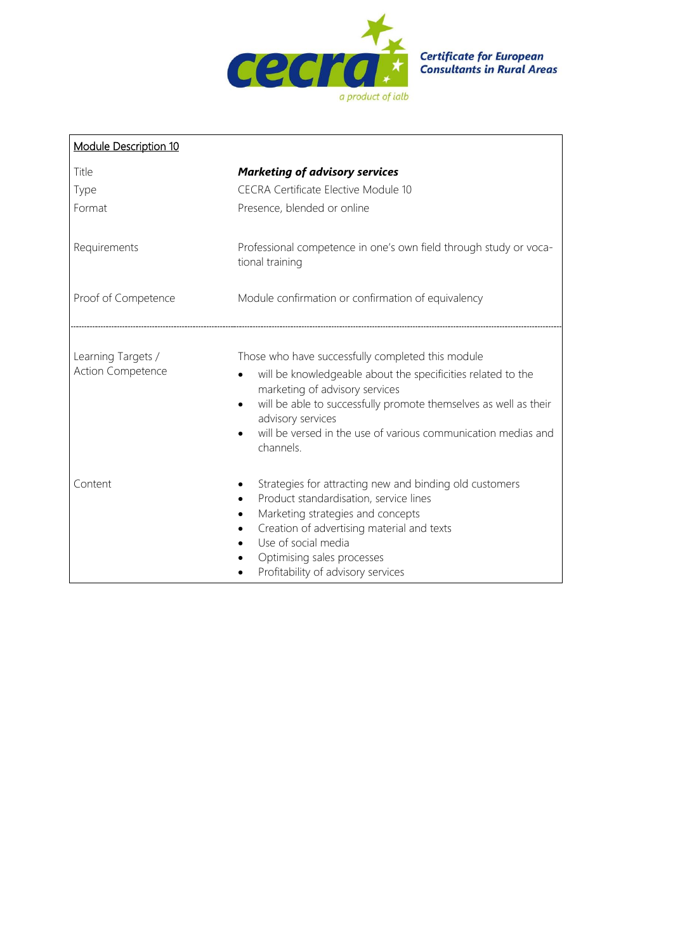

| <b>Module Description 10</b>            |                                                                                                                                                                                                   |
|-----------------------------------------|---------------------------------------------------------------------------------------------------------------------------------------------------------------------------------------------------|
| Title                                   | <b>Marketing of advisory services</b>                                                                                                                                                             |
| Type                                    | <b>CECRA Certificate Elective Module 10</b>                                                                                                                                                       |
| Format                                  | Presence, blended or online                                                                                                                                                                       |
| Requirements                            | Professional competence in one's own field through study or voca-<br>tional training                                                                                                              |
| Proof of Competence                     | Module confirmation or confirmation of equivalency                                                                                                                                                |
|                                         |                                                                                                                                                                                                   |
| Learning Targets /<br>Action Competence | Those who have successfully completed this module<br>will be knowledgeable about the specificities related to the<br>marketing of advisory services                                               |
|                                         | will be able to successfully promote themselves as well as their<br>advisory services                                                                                                             |
|                                         | will be versed in the use of various communication medias and<br>channels.                                                                                                                        |
| Content                                 | Strategies for attracting new and binding old customers<br>Product standardisation, service lines<br>Marketing strategies and concepts<br>$\bullet$<br>Creation of advertising material and texts |
|                                         | Use of social media                                                                                                                                                                               |
|                                         | Optimising sales processes<br>Profitability of advisory services<br>$\bullet$                                                                                                                     |

 $\blacksquare$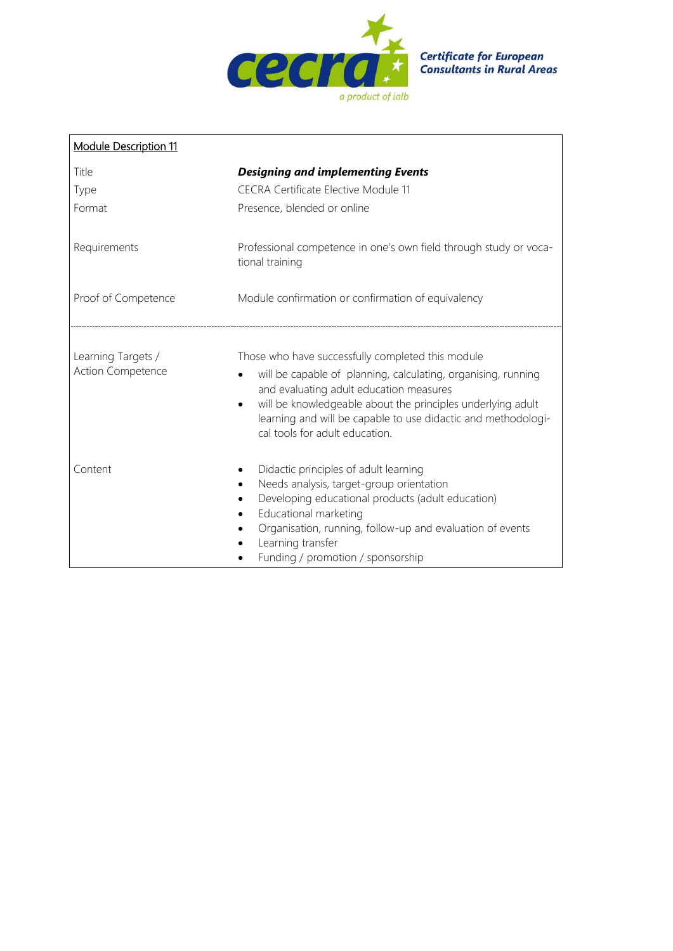

| <b>Module Description 11</b>                   |                                                                                                                                                                                                                                                                                                                                 |
|------------------------------------------------|---------------------------------------------------------------------------------------------------------------------------------------------------------------------------------------------------------------------------------------------------------------------------------------------------------------------------------|
| Title<br>Type<br>Format                        | <b>Designing and implementing Events</b><br><b>CECRA Certificate Elective Module 11</b><br>Presence, blended or online                                                                                                                                                                                                          |
| Requirements                                   | Professional competence in one's own field through study or voca-<br>tional training                                                                                                                                                                                                                                            |
| Proof of Competence                            | Module confirmation or confirmation of equivalency                                                                                                                                                                                                                                                                              |
| Learning Targets /<br><b>Action Competence</b> | Those who have successfully completed this module<br>will be capable of planning, calculating, organising, running<br>and evaluating adult education measures<br>will be knowledgeable about the principles underlying adult<br>learning and will be capable to use didactic and methodologi-<br>cal tools for adult education. |
| Content                                        | Didactic principles of adult learning<br>Needs analysis, target-group orientation<br>Developing educational products (adult education)<br>Educational marketing<br>Organisation, running, follow-up and evaluation of events<br>Learning transfer<br>Funding / promotion / sponsorship                                          |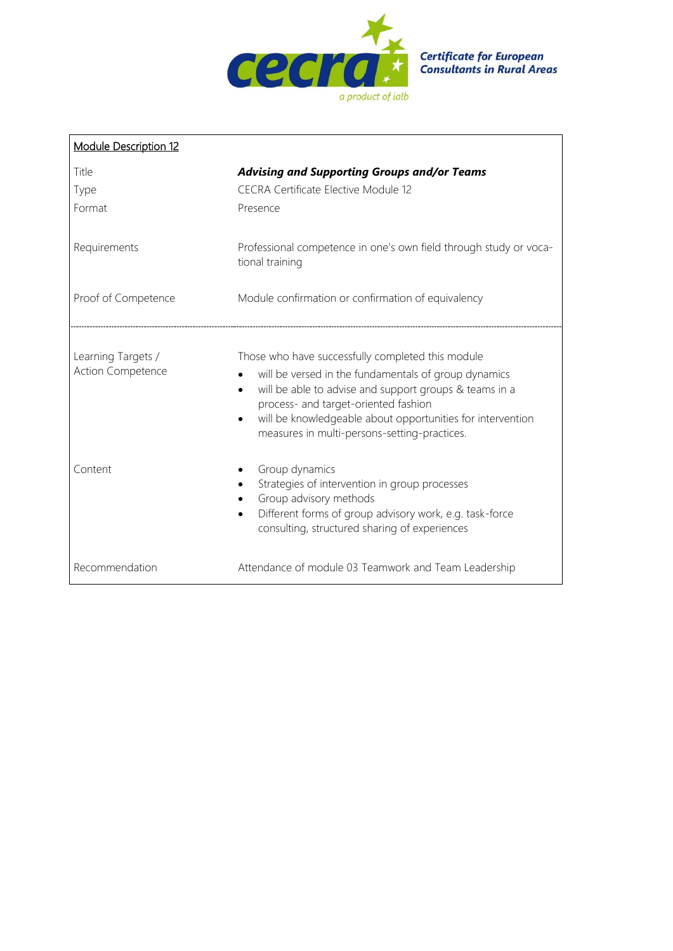

| <b>Module Description 12</b>                   |                                                                                                                                                                                                                                                                                                                                        |
|------------------------------------------------|----------------------------------------------------------------------------------------------------------------------------------------------------------------------------------------------------------------------------------------------------------------------------------------------------------------------------------------|
| Title                                          | <b>Advising and Supporting Groups and/or Teams</b>                                                                                                                                                                                                                                                                                     |
| Type                                           | <b>CECRA Certificate Elective Module 12</b>                                                                                                                                                                                                                                                                                            |
| Format                                         | Presence                                                                                                                                                                                                                                                                                                                               |
| Requirements                                   | Professional competence in one's own field through study or voca-<br>tional training                                                                                                                                                                                                                                                   |
| Proof of Competence                            | Module confirmation or confirmation of equivalency                                                                                                                                                                                                                                                                                     |
| Learning Targets /<br><b>Action Competence</b> | Those who have successfully completed this module<br>will be versed in the fundamentals of group dynamics<br>will be able to advise and support groups & teams in a<br>$\bullet$<br>process- and target-oriented fashion<br>will be knowledgeable about opportunities for intervention<br>measures in multi-persons-setting-practices. |
| Content                                        | Group dynamics<br>Strategies of intervention in group processes<br>Group advisory methods<br>Different forms of group advisory work, e.g. task-force<br>consulting, structured sharing of experiences                                                                                                                                  |
| Recommendation                                 | Attendance of module 03 Teamwork and Team Leadership                                                                                                                                                                                                                                                                                   |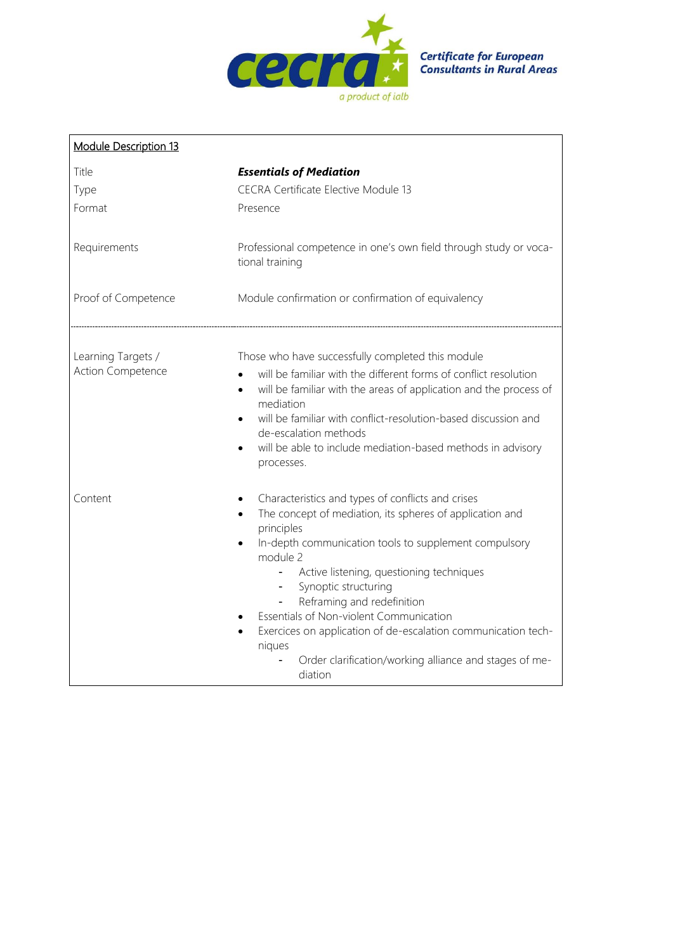

| <b>Module Description 13</b>            |                                                                                                                                                                                                                                                                                                                                                                                                                                                                                                                                                                  |
|-----------------------------------------|------------------------------------------------------------------------------------------------------------------------------------------------------------------------------------------------------------------------------------------------------------------------------------------------------------------------------------------------------------------------------------------------------------------------------------------------------------------------------------------------------------------------------------------------------------------|
| Title<br>Type<br>Format                 | <b>Essentials of Mediation</b><br><b>CECRA Certificate Elective Module 13</b><br>Presence                                                                                                                                                                                                                                                                                                                                                                                                                                                                        |
| Requirements                            | Professional competence in one's own field through study or voca-<br>tional training                                                                                                                                                                                                                                                                                                                                                                                                                                                                             |
| Proof of Competence                     | Module confirmation or confirmation of equivalency                                                                                                                                                                                                                                                                                                                                                                                                                                                                                                               |
| Learning Targets /<br>Action Competence | Those who have successfully completed this module<br>will be familiar with the different forms of conflict resolution<br>$\bullet$<br>will be familiar with the areas of application and the process of<br>$\bullet$<br>mediation<br>will be familiar with conflict-resolution-based discussion and<br>$\bullet$<br>de-escalation methods<br>will be able to include mediation-based methods in advisory<br>processes.                                                                                                                                           |
| Content                                 | Characteristics and types of conflicts and crises<br>The concept of mediation, its spheres of application and<br>$\bullet$<br>principles<br>In-depth communication tools to supplement compulsory<br>$\bullet$<br>module 2<br>Active listening, questioning techniques<br>$\blacksquare$<br>Synoptic structuring<br>$\sim$<br>Reframing and redefinition<br>Essentials of Non-violent Communication<br>Exercices on application of de-escalation communication tech-<br>$\bullet$<br>niques<br>Order clarification/working alliance and stages of me-<br>diation |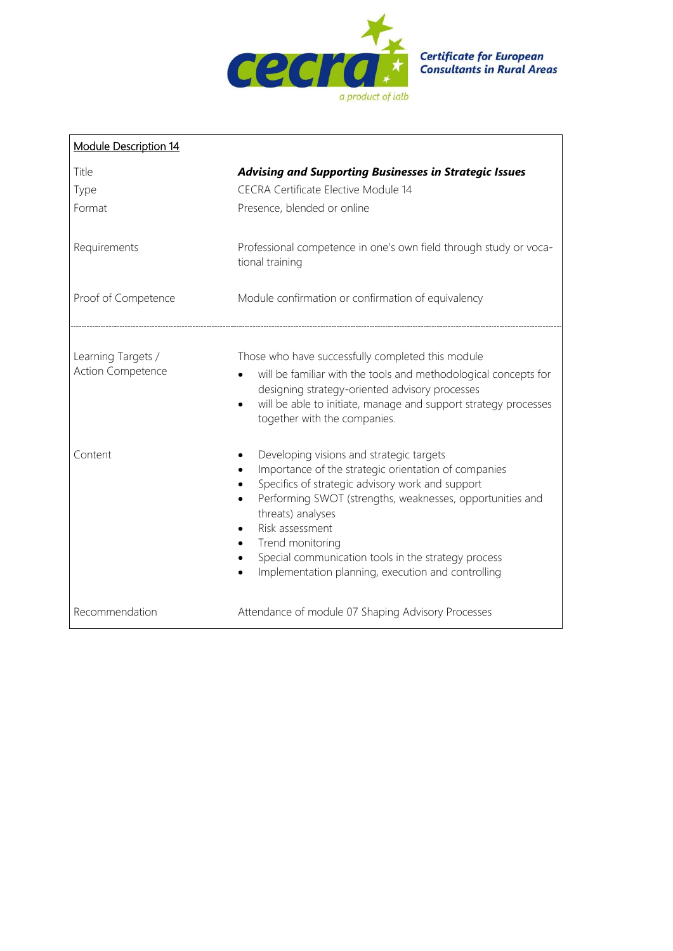

| <b>Module Description 14</b>            |                                                                                                                                                                                                                                                                                                                                                                                                                                   |
|-----------------------------------------|-----------------------------------------------------------------------------------------------------------------------------------------------------------------------------------------------------------------------------------------------------------------------------------------------------------------------------------------------------------------------------------------------------------------------------------|
| Title<br>Type<br>Format                 | <b>Advising and Supporting Businesses in Strategic Issues</b><br><b>CECRA Certificate Elective Module 14</b><br>Presence, blended or online                                                                                                                                                                                                                                                                                       |
| Requirements                            | Professional competence in one's own field through study or voca-<br>tional training                                                                                                                                                                                                                                                                                                                                              |
| Proof of Competence                     | Module confirmation or confirmation of equivalency                                                                                                                                                                                                                                                                                                                                                                                |
| Learning Targets /<br>Action Competence | Those who have successfully completed this module<br>will be familiar with the tools and methodological concepts for<br>designing strategy-oriented advisory processes<br>will be able to initiate, manage and support strategy processes<br>$\bullet$<br>together with the companies.                                                                                                                                            |
| Content                                 | Developing visions and strategic targets<br>Importance of the strategic orientation of companies<br>Specifics of strategic advisory work and support<br>Performing SWOT (strengths, weaknesses, opportunities and<br>threats) analyses<br>Risk assessment<br>$\bullet$<br>Trend monitoring<br>$\bullet$<br>Special communication tools in the strategy process<br>$\bullet$<br>Implementation planning, execution and controlling |
| Recommendation                          | Attendance of module 07 Shaping Advisory Processes                                                                                                                                                                                                                                                                                                                                                                                |

 $\mathbf{r}$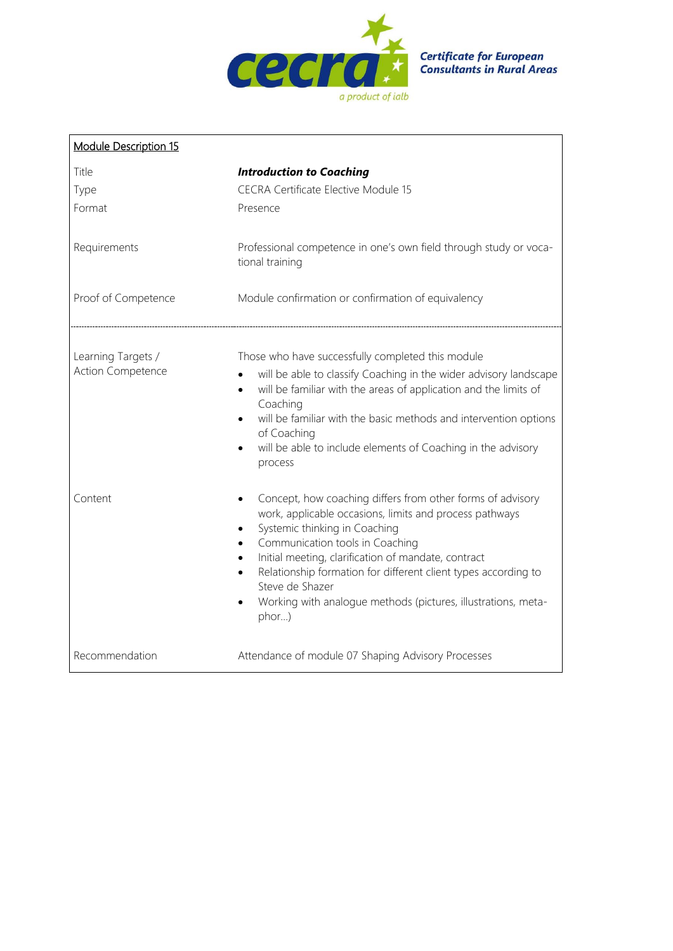

| <b>Module Description 15</b>            |                                                                                                                                                                                                                                                                                                                                                                                                                                                        |
|-----------------------------------------|--------------------------------------------------------------------------------------------------------------------------------------------------------------------------------------------------------------------------------------------------------------------------------------------------------------------------------------------------------------------------------------------------------------------------------------------------------|
| Title<br>Type<br>Format                 | <b>Introduction to Coaching</b><br><b>CECRA Certificate Elective Module 15</b><br>Presence                                                                                                                                                                                                                                                                                                                                                             |
| Requirements                            | Professional competence in one's own field through study or voca-<br>tional training                                                                                                                                                                                                                                                                                                                                                                   |
| Proof of Competence                     | Module confirmation or confirmation of equivalency                                                                                                                                                                                                                                                                                                                                                                                                     |
| Learning Targets /<br>Action Competence | Those who have successfully completed this module<br>will be able to classify Coaching in the wider advisory landscape<br>will be familiar with the areas of application and the limits of<br>$\bullet$<br>Coaching<br>will be familiar with the basic methods and intervention options<br>$\bullet$<br>of Coaching<br>will be able to include elements of Coaching in the advisory<br>$\bullet$<br>process                                            |
| Content                                 | Concept, how coaching differs from other forms of advisory<br>$\bullet$<br>work, applicable occasions, limits and process pathways<br>Systemic thinking in Coaching<br>$\bullet$<br>Communication tools in Coaching<br>Initial meeting, clarification of mandate, contract<br>Relationship formation for different client types according to<br>$\bullet$<br>Steve de Shazer<br>Working with analogue methods (pictures, illustrations, meta-<br>phor) |
| Recommendation                          | Attendance of module 07 Shaping Advisory Processes                                                                                                                                                                                                                                                                                                                                                                                                     |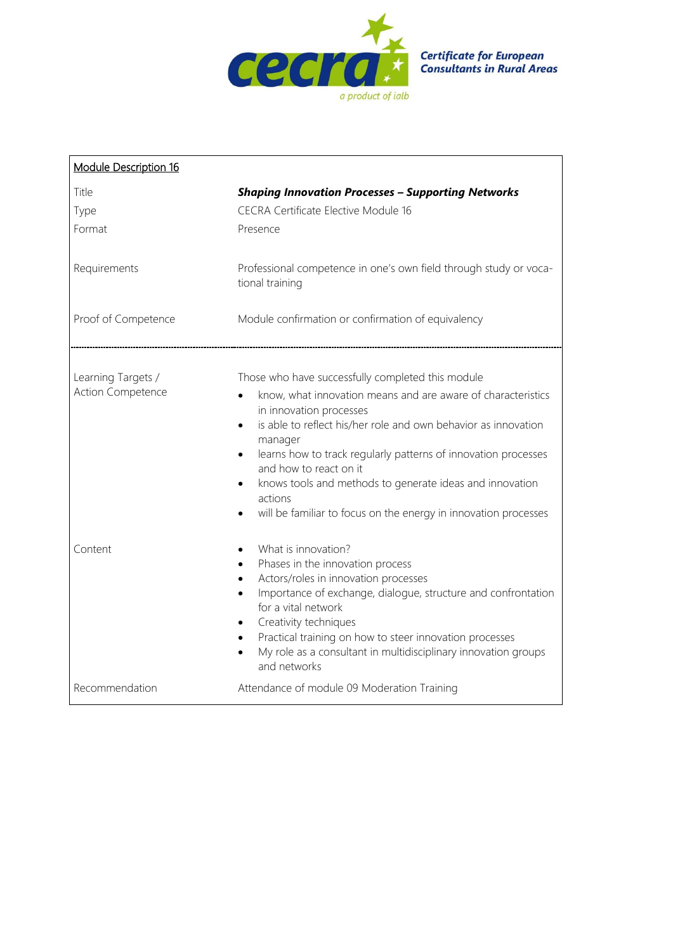

| Module Description 16                          |                                                                                                                                                                                                                                                                                                                                                                                                                                                                                                        |
|------------------------------------------------|--------------------------------------------------------------------------------------------------------------------------------------------------------------------------------------------------------------------------------------------------------------------------------------------------------------------------------------------------------------------------------------------------------------------------------------------------------------------------------------------------------|
| Title<br>Type<br>Format                        | <b>Shaping Innovation Processes - Supporting Networks</b><br><b>CECRA Certificate Elective Module 16</b><br>Presence                                                                                                                                                                                                                                                                                                                                                                                   |
| Requirements                                   | Professional competence in one's own field through study or voca-<br>tional training                                                                                                                                                                                                                                                                                                                                                                                                                   |
| Proof of Competence                            | Module confirmation or confirmation of equivalency                                                                                                                                                                                                                                                                                                                                                                                                                                                     |
| Learning Targets /<br><b>Action Competence</b> | Those who have successfully completed this module<br>know, what innovation means and are aware of characteristics<br>in innovation processes<br>is able to reflect his/her role and own behavior as innovation<br>$\bullet$<br>manager<br>learns how to track regularly patterns of innovation processes<br>$\bullet$<br>and how to react on it<br>knows tools and methods to generate ideas and innovation<br>$\bullet$<br>actions<br>will be familiar to focus on the energy in innovation processes |
| Content                                        | What is innovation?<br>Phases in the innovation process<br>$\bullet$<br>Actors/roles in innovation processes<br>$\bullet$<br>Importance of exchange, dialogue, structure and confrontation<br>$\bullet$<br>for a vital network<br>Creativity techniques<br>Practical training on how to steer innovation processes<br>$\bullet$<br>My role as a consultant in multidisciplinary innovation groups<br>$\bullet$<br>and networks                                                                         |
| Recommendation                                 | Attendance of module 09 Moderation Training                                                                                                                                                                                                                                                                                                                                                                                                                                                            |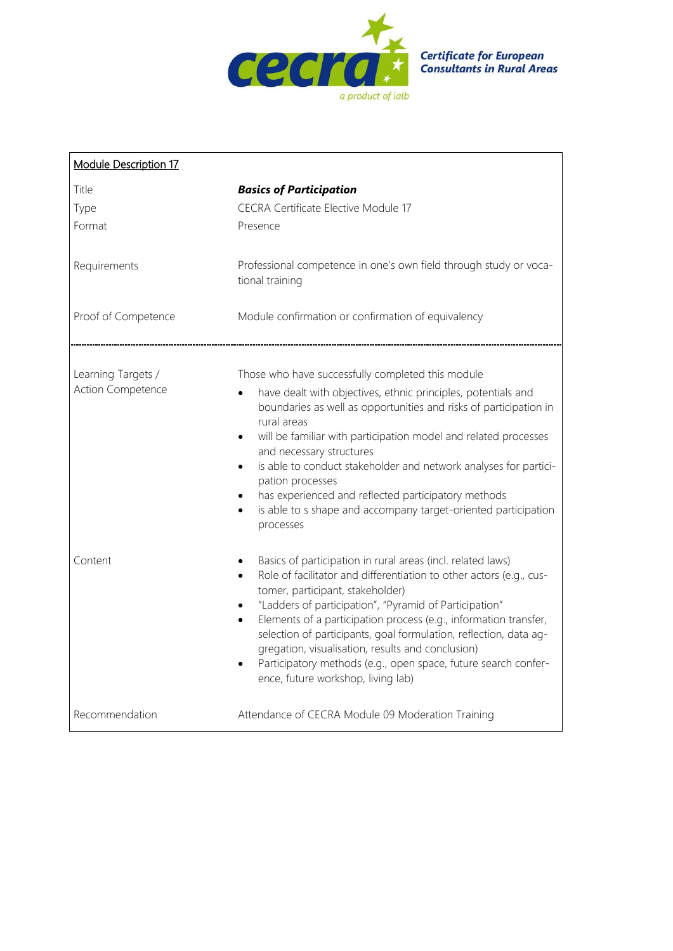

| <b>Module Description 17</b>            |                                                                                                                                                                                                                                                                                                                                                                                                                                                                                                                                                                  |
|-----------------------------------------|------------------------------------------------------------------------------------------------------------------------------------------------------------------------------------------------------------------------------------------------------------------------------------------------------------------------------------------------------------------------------------------------------------------------------------------------------------------------------------------------------------------------------------------------------------------|
| Title<br>Type<br>Format                 | <b>Basics of Participation</b><br><b>CECRA Certificate Elective Module 17</b><br>Presence                                                                                                                                                                                                                                                                                                                                                                                                                                                                        |
| Requirements                            | Professional competence in one's own field through study or voca-<br>tional training                                                                                                                                                                                                                                                                                                                                                                                                                                                                             |
| Proof of Competence                     | Module confirmation or confirmation of equivalency                                                                                                                                                                                                                                                                                                                                                                                                                                                                                                               |
| Learning Targets /<br>Action Competence | Those who have successfully completed this module<br>have dealt with objectives, ethnic principles, potentials and<br>boundaries as well as opportunities and risks of participation in<br>rural areas<br>will be familiar with participation model and related processes<br>and necessary structures<br>is able to conduct stakeholder and network analyses for partici-<br>$\bullet$<br>pation processes<br>has experienced and reflected participatory methods<br>$\bullet$<br>is able to s shape and accompany target-oriented participation<br>processes    |
| Content                                 | Basics of participation in rural areas (incl. related laws)<br>Role of facilitator and differentiation to other actors (e.g., cus-<br>tomer, participant, stakeholder)<br>"Ladders of participation", "Pyramid of Participation"<br>$\bullet$<br>Elements of a participation process (e.g., information transfer,<br>$\bullet$<br>selection of participants, goal formulation, reflection, data ag-<br>gregation, visualisation, results and conclusion)<br>Participatory methods (e.g., open space, future search confer-<br>ence, future workshop, living lab) |
| Recommendation                          | Attendance of CECRA Module 09 Moderation Training                                                                                                                                                                                                                                                                                                                                                                                                                                                                                                                |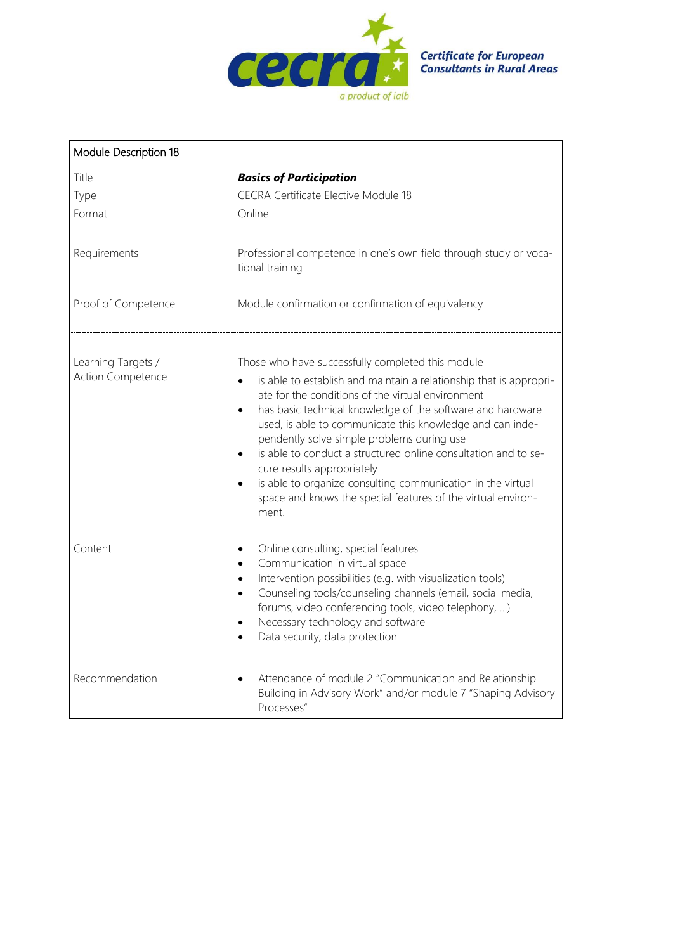

| <b>Module Description 18</b>            |                                                                                                                                                                                                                                                                                                                                                                                                                                                                                                                                                                                                                                      |  |
|-----------------------------------------|--------------------------------------------------------------------------------------------------------------------------------------------------------------------------------------------------------------------------------------------------------------------------------------------------------------------------------------------------------------------------------------------------------------------------------------------------------------------------------------------------------------------------------------------------------------------------------------------------------------------------------------|--|
| Title<br>Type<br>Format                 | <b>Basics of Participation</b><br><b>CECRA Certificate Elective Module 18</b><br>Online                                                                                                                                                                                                                                                                                                                                                                                                                                                                                                                                              |  |
| Requirements                            | Professional competence in one's own field through study or voca-<br>tional training                                                                                                                                                                                                                                                                                                                                                                                                                                                                                                                                                 |  |
| Proof of Competence                     | Module confirmation or confirmation of equivalency                                                                                                                                                                                                                                                                                                                                                                                                                                                                                                                                                                                   |  |
| Learning Targets /<br>Action Competence | Those who have successfully completed this module<br>is able to establish and maintain a relationship that is appropri-<br>ate for the conditions of the virtual environment<br>has basic technical knowledge of the software and hardware<br>$\bullet$<br>used, is able to communicate this knowledge and can inde-<br>pendently solve simple problems during use<br>is able to conduct a structured online consultation and to se-<br>$\bullet$<br>cure results appropriately<br>is able to organize consulting communication in the virtual<br>$\bullet$<br>space and knows the special features of the virtual environ-<br>ment. |  |
| Content                                 | Online consulting, special features<br>Communication in virtual space<br>$\bullet$<br>Intervention possibilities (e.g. with visualization tools)<br>$\bullet$<br>Counseling tools/counseling channels (email, social media,<br>$\bullet$<br>forums, video conferencing tools, video telephony, )<br>Necessary technology and software<br>$\bullet$<br>Data security, data protection<br>$\bullet$                                                                                                                                                                                                                                    |  |
| Recommendation                          | Attendance of module 2 "Communication and Relationship<br>Building in Advisory Work" and/or module 7 "Shaping Advisory<br>Processes"                                                                                                                                                                                                                                                                                                                                                                                                                                                                                                 |  |